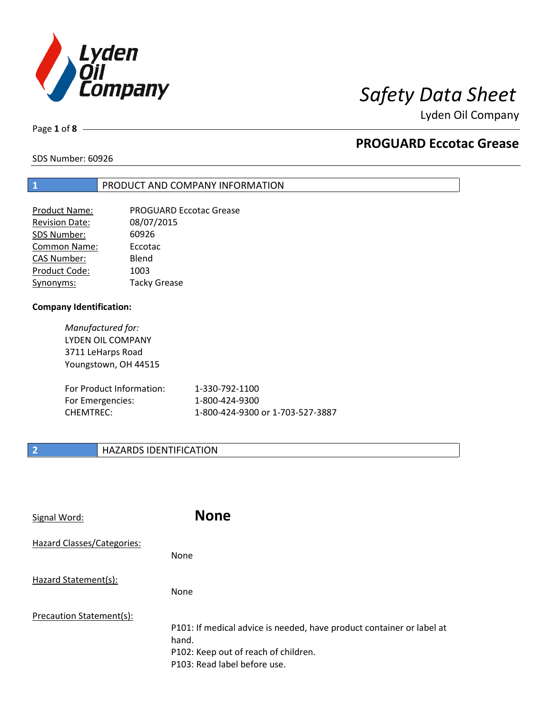

# *Safety Data Sheet*

Lyden Oil Company

Page **1** of **8**

## **PROGUARD Eccotac Grease**

SDS Number: 60926

### **1** PRODUCT AND COMPANY INFORMATION

| Product Name:         | <b>PROGUARD Eccotac Grease</b> |
|-----------------------|--------------------------------|
| <b>Revision Date:</b> | 08/07/2015                     |
| SDS Number:           | 60926                          |
| Common Name:          | Eccotac                        |
| <b>CAS Number:</b>    | Blend                          |
| Product Code:         | 1003                           |
| Synonyms:             | <b>Tacky Grease</b>            |

### **Company Identification:**

*Manufactured for:*  LYDEN OIL COMPANY 3711 LeHarps Road Youngstown, OH 44515

| For Product Information: | 1-330-792-1100                   |
|--------------------------|----------------------------------|
| For Emergencies:         | 1-800-424-9300                   |
| CHEMTREC:                | 1-800-424-9300 or 1-703-527-3887 |

### **2 HAZARDS IDENTIFICATION**

| Signal Word:               | <b>None</b>                                                                                                                                            |
|----------------------------|--------------------------------------------------------------------------------------------------------------------------------------------------------|
| Hazard Classes/Categories: | None                                                                                                                                                   |
| Hazard Statement(s):       | None                                                                                                                                                   |
| Precaution Statement(s):   | P101: If medical advice is needed, have product container or label at<br>hand.<br>P102: Keep out of reach of children.<br>P103: Read label before use. |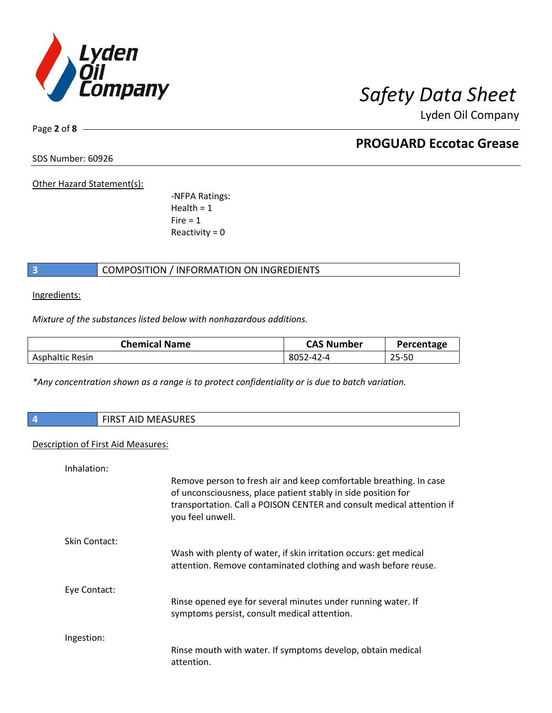

Lyden Oil Company

Page **2** of **8**

# **PROGUARD Eccotac Grease**

SDS Number: 60926

Other Hazard Statement(s):

-NFPA Ratings:  $Health = 1$  $Fire = 1$ Reactivity  $= 0$ 

### **3** COMPOSITION / INFORMATION ON INGREDIENTS

Ingredients:

*Mixture of the substances listed below with nonhazardous additions.*

| <b>Chemical Name</b> | <b>CAS Number</b> | Percentage |
|----------------------|-------------------|------------|
| Asphaltic Resin      | 8052-42-4         | 25-50      |

*\*Any concentration shown as a range is to protect confidentiality or is due to batch variation.*

| <b>FIRST AID MEASURES</b> |
|---------------------------|
|                           |

### Description of First Aid Measures:

| Inhalation:          |                                                                                                                                                                                                                                  |
|----------------------|----------------------------------------------------------------------------------------------------------------------------------------------------------------------------------------------------------------------------------|
|                      | Remove person to fresh air and keep comfortable breathing. In case<br>of unconsciousness, place patient stably in side position for<br>transportation. Call a POISON CENTER and consult medical attention if<br>you feel unwell. |
| <b>Skin Contact:</b> |                                                                                                                                                                                                                                  |
|                      | Wash with plenty of water, if skin irritation occurs: get medical<br>attention. Remove contaminated clothing and wash before reuse.                                                                                              |
| Eye Contact:         |                                                                                                                                                                                                                                  |
|                      | Rinse opened eye for several minutes under running water. If<br>symptoms persist, consult medical attention.                                                                                                                     |
| Ingestion:           |                                                                                                                                                                                                                                  |
|                      | Rinse mouth with water. If symptoms develop, obtain medical<br>attention.                                                                                                                                                        |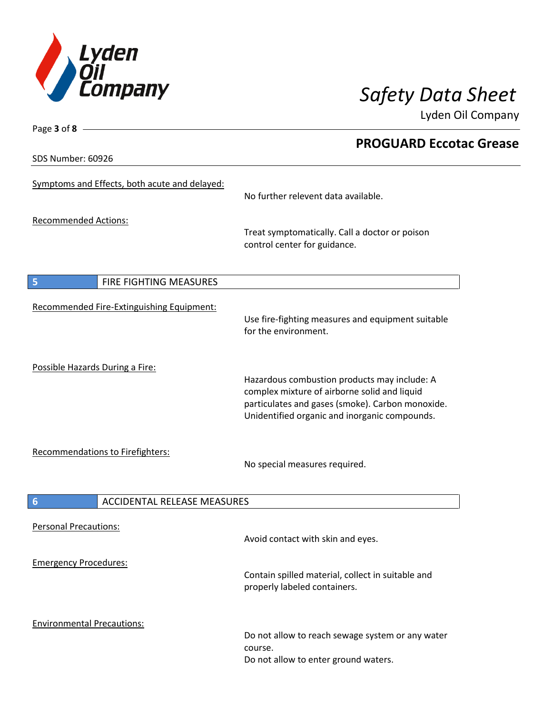

Lyden Oil Company

SDS Number: 60926

Page **3** of **8**

| 99 IVUIIINUI . VVJZU                          |                                                                                                                                                                                                   |  |
|-----------------------------------------------|---------------------------------------------------------------------------------------------------------------------------------------------------------------------------------------------------|--|
| Symptoms and Effects, both acute and delayed: | No further relevent data available.                                                                                                                                                               |  |
| <b>Recommended Actions:</b>                   | Treat symptomatically. Call a doctor or poison<br>control center for guidance.                                                                                                                    |  |
| 5<br>FIRE FIGHTING MEASURES                   |                                                                                                                                                                                                   |  |
| Recommended Fire-Extinguishing Equipment:     | Use fire-fighting measures and equipment suitable<br>for the environment.                                                                                                                         |  |
| Possible Hazards During a Fire:               | Hazardous combustion products may include: A<br>complex mixture of airborne solid and liquid<br>particulates and gases (smoke). Carbon monoxide.<br>Unidentified organic and inorganic compounds. |  |
| Recommendations to Firefighters:              | No special measures required.                                                                                                                                                                     |  |
| <b>ACCIDENTAL RELEASE MEASURES</b><br>6       |                                                                                                                                                                                                   |  |
| <b>Personal Precautions:</b>                  | Avoid contact with skin and eyes.                                                                                                                                                                 |  |
| <b>Emergency Procedures:</b>                  | Contain spilled material, collect in suitable and<br>properly labeled containers.                                                                                                                 |  |
| <b>Environmental Precautions:</b>             | Do not allow to reach sewage system or any water<br>course.<br>Do not allow to enter ground waters.                                                                                               |  |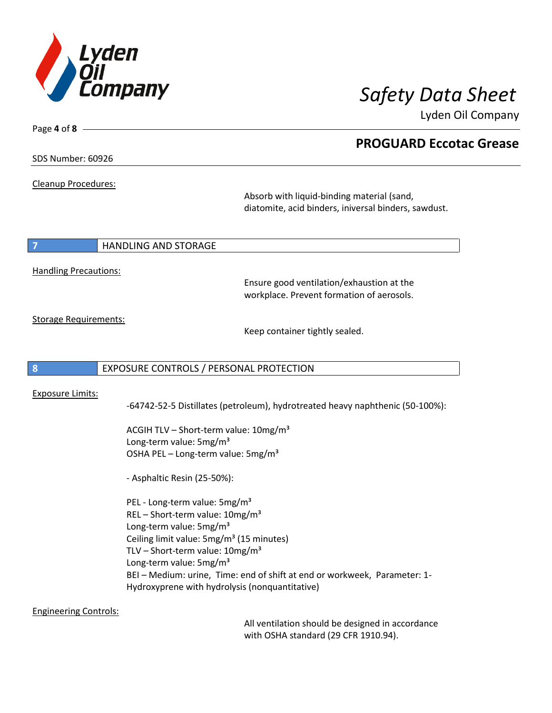

Lyden Oil Company

SDS Number: 60926

Page **4** of **8**

Cleanup Procedures:

Absorb with liquid-binding material (sand, diatomite, acid binders, iniversal binders, sawdust.

### **7 HANDLING AND STORAGE**

Handling Precautions:

Ensure good ventilation/exhaustion at the workplace. Prevent formation of aerosols.

Storage Requirements:

Keep container tightly sealed.

### **8** EXPOSURE CONTROLS / PERSONAL PROTECTION

### Exposure Limits:

-64742-52-5 Distillates (petroleum), hydrotreated heavy naphthenic (50-100%):

ACGIH TLV - Short-term value: 10mg/m<sup>3</sup> Long-term value: 5mg/m<sup>3</sup> OSHA PEL – Long-term value:  $5mg/m<sup>3</sup>$ 

- Asphaltic Resin (25-50%):

PEL - Long-term value: 5mg/m<sup>3</sup> REL - Short-term value: 10mg/m<sup>3</sup> Long-term value: 5mg/m<sup>3</sup> Ceiling limit value: 5mg/m<sup>3</sup> (15 minutes) TLV – Short-term value:  $10$ mg/m<sup>3</sup> Long-term value: 5mg/m<sup>3</sup> BEI – Medium: urine, Time: end of shift at end or workweek, Parameter: 1- Hydroxyprene with hydrolysis (nonquantitative)

Engineering Controls:

All ventilation should be designed in accordance with OSHA standard (29 CFR 1910.94).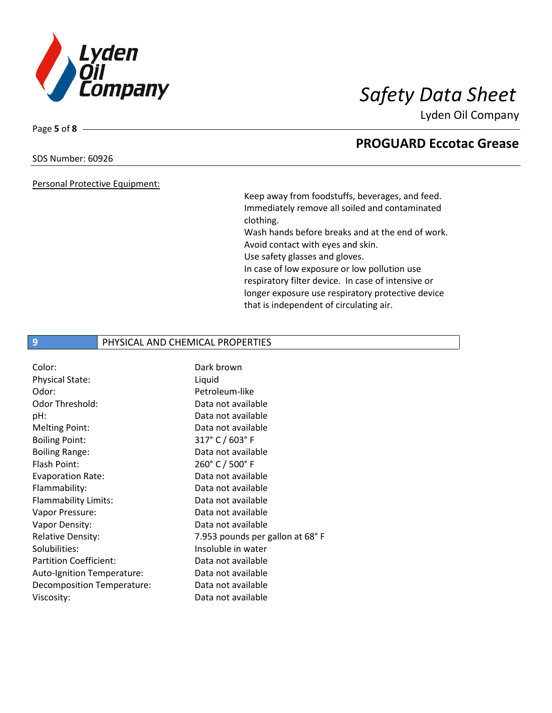

Lyden Oil Company

### SDS Number: 60926

Page **5** of **8**

### Personal Protective Equipment:

Keep away from foodstuffs, beverages, and feed. Immediately remove all soiled and contaminated clothing.

Wash hands before breaks and at the end of work. Avoid contact with eyes and skin.

Use safety glasses and gloves.

In case of low exposure or low pollution use respiratory filter device. In case of intensive or longer exposure use respiratory protective device that is independent of circulating air.

### **9** PHYSICAL AND CHEMICAL PROPERTIES

| Color:                        | Dark brown                      |
|-------------------------------|---------------------------------|
| Physical State:               | Liquid                          |
| Odor:                         | Petroleum-like                  |
| Odor Threshold:               | Data not available              |
| pH:                           | Data not available              |
| <b>Melting Point:</b>         | Data not available              |
| <b>Boiling Point:</b>         | 317° C / 603° F                 |
| <b>Boiling Range:</b>         | Data not available              |
| Flash Point:                  | 260° C / 500° F                 |
| <b>Evaporation Rate:</b>      | Data not available              |
| Flammability:                 | Data not available              |
| Flammability Limits:          | Data not available              |
| Vapor Pressure:               | Data not available              |
| Vapor Density:                | Data not available              |
| <b>Relative Density:</b>      | 7.953 pounds per gallon at 68°F |
| Solubilities:                 | Insoluble in water              |
| <b>Partition Coefficient:</b> | Data not available              |
| Auto-Ignition Temperature:    | Data not available              |
| Decomposition Temperature:    | Data not available              |
| Viscosity:                    | Data not available              |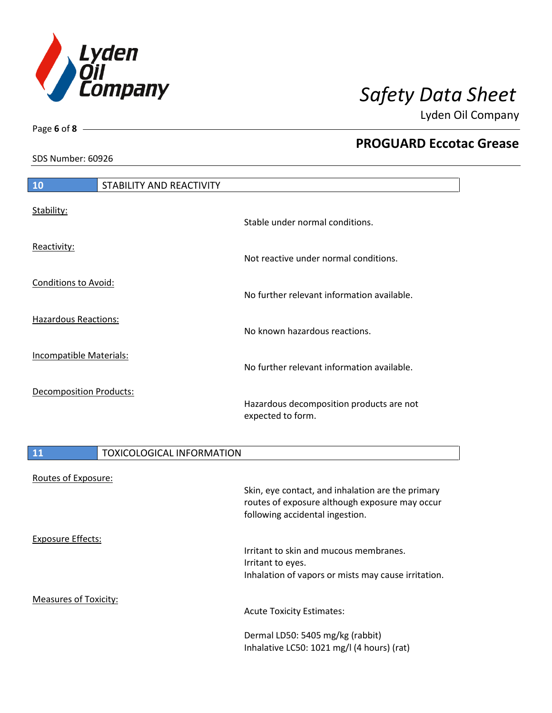

Lyden Oil Company

SDS Number: 60926

Routes of Exposure:

I

Page **6** of **8**

I

| 10                             | STABILITY AND REACTIVITY                                      |  |
|--------------------------------|---------------------------------------------------------------|--|
| Stability:                     | Stable under normal conditions.                               |  |
| Reactivity:                    | Not reactive under normal conditions.                         |  |
| <b>Conditions to Avoid:</b>    | No further relevant information available.                    |  |
| <b>Hazardous Reactions:</b>    | No known hazardous reactions.                                 |  |
| Incompatible Materials:        | No further relevant information available.                    |  |
| <b>Decomposition Products:</b> | Hazardous decomposition products are not<br>expected to form. |  |
| 11                             | <b>TOXICOLOGICAL INFORMATION</b>                              |  |
|                                |                                                               |  |

|                       | Skin, eye contact, and inhalation are the primary<br>routes of exposure although exposure may occur<br>following accidental ingestion. |
|-----------------------|----------------------------------------------------------------------------------------------------------------------------------------|
| Exposure Effects:     |                                                                                                                                        |
|                       | Irritant to skin and mucous membranes.                                                                                                 |
|                       | Irritant to eyes.                                                                                                                      |
|                       | Inhalation of vapors or mists may cause irritation.                                                                                    |
| Measures of Toxicity: |                                                                                                                                        |
|                       | <b>Acute Toxicity Estimates:</b>                                                                                                       |
|                       | Dermal LD50: 5405 mg/kg (rabbit)                                                                                                       |
|                       | Inhalative LC50: 1021 mg/l (4 hours) (rat)                                                                                             |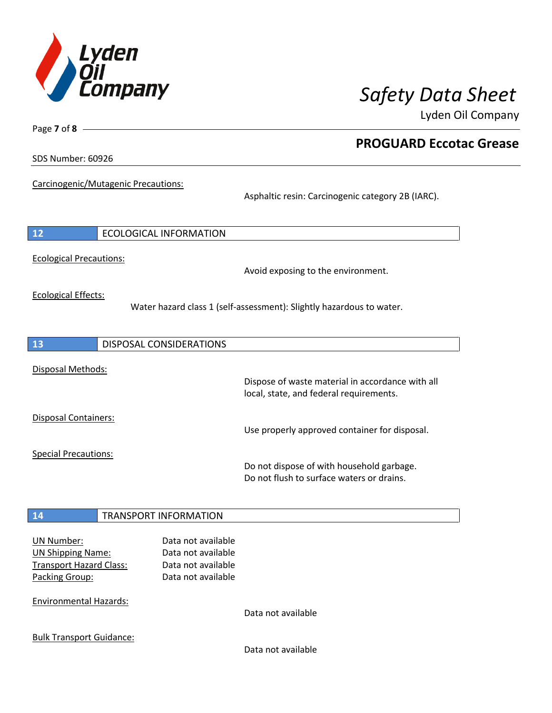

Lyden Oil Company

SDS Number: 60926

Page **7** of **8**

Carcinogenic/Mutagenic Precautions:

Asphaltic resin: Carcinogenic category 2B (IARC).

| 12                                                                                                | <b>ECOLOGICAL INFORMATION</b>                                                        |                                                                                             |
|---------------------------------------------------------------------------------------------------|--------------------------------------------------------------------------------------|---------------------------------------------------------------------------------------------|
| <b>Ecological Precautions:</b>                                                                    |                                                                                      | Avoid exposing to the environment.                                                          |
| <b>Ecological Effects:</b>                                                                        | Water hazard class 1 (self-assessment): Slightly hazardous to water.                 |                                                                                             |
| <b>13</b>                                                                                         | <b>DISPOSAL CONSIDERATIONS</b>                                                       |                                                                                             |
| Disposal Methods:                                                                                 |                                                                                      | Dispose of waste material in accordance with all<br>local, state, and federal requirements. |
| <b>Disposal Containers:</b>                                                                       |                                                                                      | Use properly approved container for disposal.                                               |
| <b>Special Precautions:</b>                                                                       |                                                                                      | Do not dispose of with household garbage.<br>Do not flush to surface waters or drains.      |
| 14                                                                                                | <b>TRANSPORT INFORMATION</b>                                                         |                                                                                             |
| <b>UN Number:</b><br><b>UN Shipping Name:</b><br><b>Transport Hazard Class:</b><br>Packing Group: | Data not available<br>Data not available<br>Data not available<br>Data not available |                                                                                             |
| <b>Environmental Hazards:</b>                                                                     |                                                                                      | Data not available                                                                          |
| <b>Bulk Transport Guidance:</b>                                                                   |                                                                                      |                                                                                             |